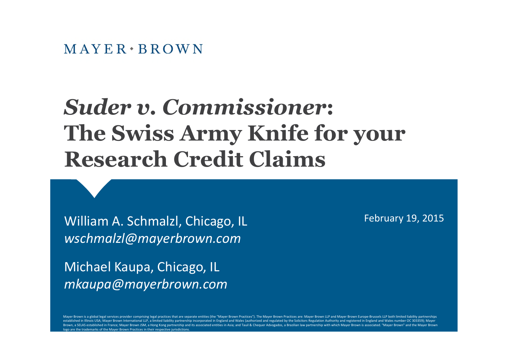# *Suder v. Commissioner***: The Swiss Army Knife for your Research Credit Claims**

William A. Schmalzl, Chicago, IL *wschmalzl@mayerbrown.com*

Michael Kaupa, Chicago, IL *mkaupa@mayerbrown.com* February 19, 2015

Mayer Brown is a global legal services provider comprising legal practices that are separate entities (the "Mayer Brown Practices"). The Mayer Brown Practices are: Mayer Brown LLP and Mayer Brown Europe-Brussels LLP both l established in Illinois USA; Mayer Brown International LLP, a limited liability partnership incorporated in England and Wales (authorized and regulated by the Solicitors Regulation Authority and registered in England and W Brown, a SELAS established in France; Mayer Brown JSM, a Hong Kong partnership and its associated entities in Asia; and Tauil & Chequer Advogados, a Brazilian law partnership with which Mayer Brown is associated. "Mayer Br o are the trademarks of the Mayer Brown Practices in their respective jurisdictions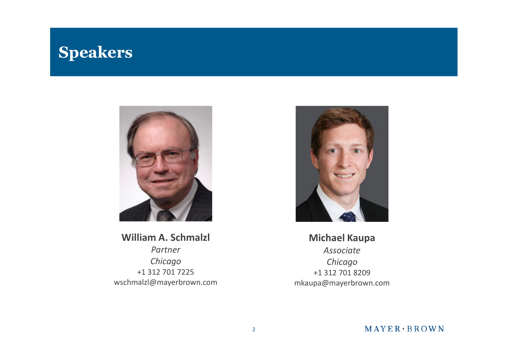#### **Speakers**



#### **William A. Schmalzl**

*Partner Chicago* +1 312 701 7225 wschmalzl@mayerbrown.com



#### **Michael Kaupa**

*Associate Chicago* +1 312 701 8209 mkaupa@mayerbrown.com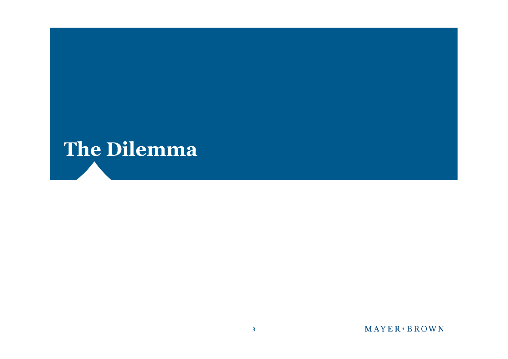# **The Dilemma**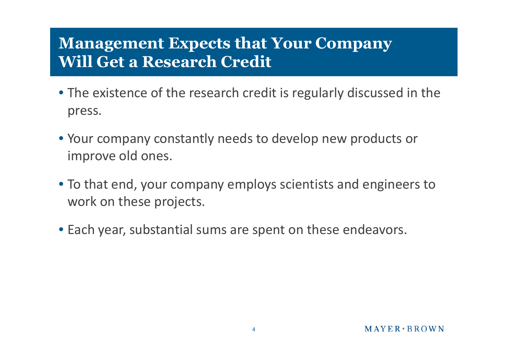#### **Management Expects that Your Company Will Get a Research Credit**

- The existence of the research credit is regularly discussed in the press.
- Your company constantly needs to develop new products or improve old ones.
- To that end, your company employs scientists and engineers to work on these projects.
- Each year, substantial sums are spent on these endeavors.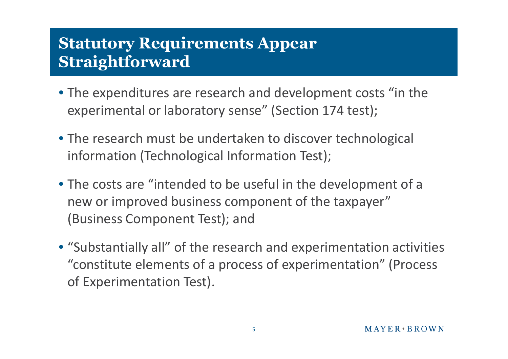#### **Statutory Requirements Appear Straightforward**

- The expenditures are research and development costs "in the experimental or laboratory sense" (Section 174 test);
- The research must be undertaken to discover technological information (Technological Information Test);
- The costs are "intended to be useful in the development of a new or improved business component of the taxpayer" (Business Component Test); and
- "Substantially all" of the research and experimentation activities "constitute elements of a process of experimentation" (Process of Experimentation Test).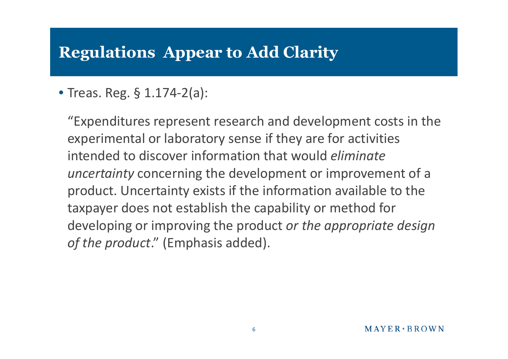### **Regulations Appear to Add Clarity**

#### • Treas. Reg. § 1.174-2(a):

"Expenditures represent research and development costs in the experimental or laboratory sense if they are for activities intended to discover information that would *eliminate uncertainty* concerning the development or improvement of a product. Uncertainty exists if the information available to the taxpayer does not establish the capability or method for developing or improving the product *or the appropriate design of the product*." (Emphasis added).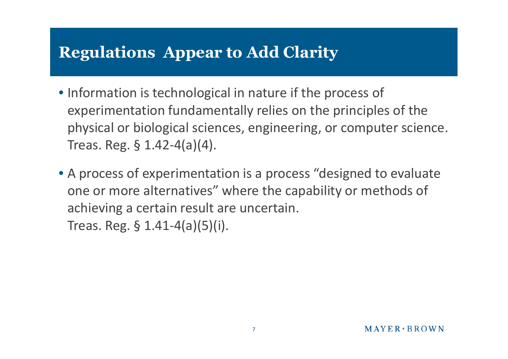## **Regulations Appear to Add Clarity**

- Information is technological in nature if the process of experimentation fundamentally relies on the principles of the physical or biological sciences, engineering, or computer science. Treas. Reg. § 1.42-4(a)(4).
- A process of experimentation is a process "designed to evaluate one or more alternatives" where the capability or methods of achieving a certain result are uncertain. Treas. Reg. § 1.41-4(a)(5)(i).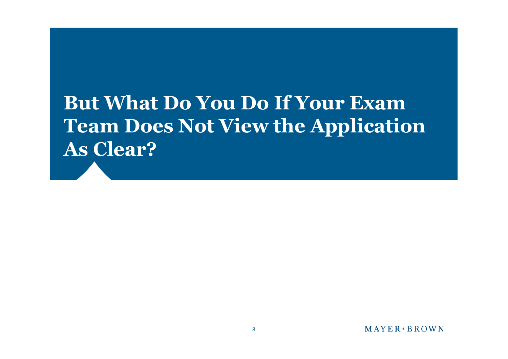# **But What Do You Do If Your Exam Team Does Not View the Application As Clear?**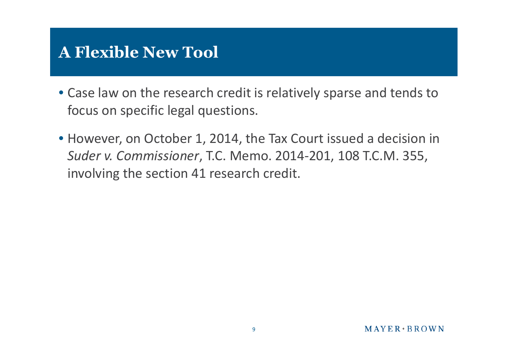### **A Flexible New Tool**

- Case law on the research credit is relatively sparse and tends to focus on specific legal questions.
- However, on October 1, 2014, the Tax Court issued a decision in *Suder v. Commissioner*, T.C. Memo. 2014-201, 108 T.C.M. 355, involving the section 41 research credit.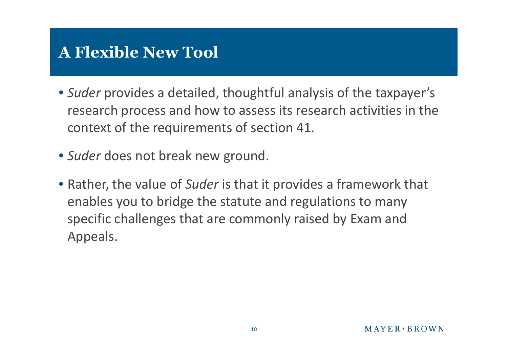## **A Flexible New Tool**

- *Suder* provides a detailed, thoughtful analysis of the taxpayer's research process and how to assess its research activities in the context of the requirements of section 41.
- *Suder* does not break new ground.
- Rather, the value of *Suder* is that it provides a framework that enables you to bridge the statute and regulations to many specific challenges that are commonly raised by Exam and Appeals.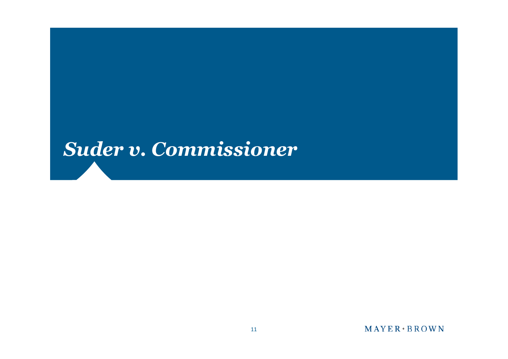## *Suder v. Commissioner*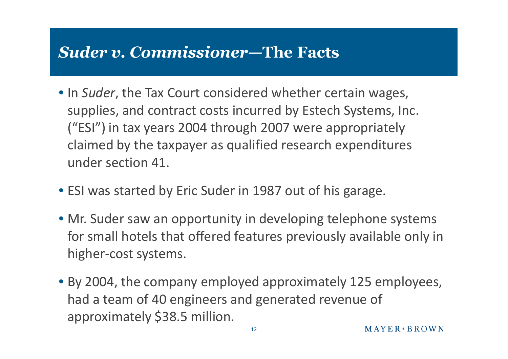#### *Suder v. Commissioner—***The Facts**

- In *Suder*, the Tax Court considered whether certain wages, supplies, and contract costs incurred by Estech Systems, Inc. ("ESI") in tax years 2004 through 2007 were appropriately claimed by the taxpayer as qualified research expenditures under section 41.
- ESI was started by Eric Suder in 1987 out of his garage.
- Mr. Suder saw an opportunity in developing telephone systems for small hotels that offered features previously available only in higher-cost systems.
- By 2004, the company employed approximately 125 employees, had a team of 40 engineers and generated revenue of approximately \$38.5 million.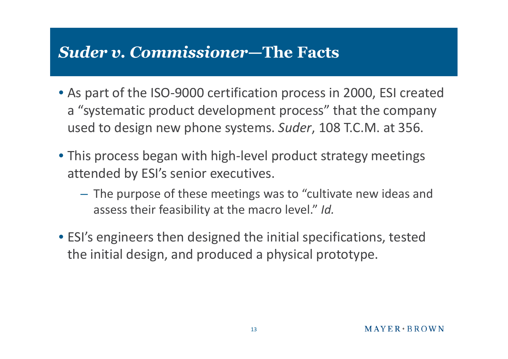#### *Suder v. Commissioner***—The Facts**

- As part of the ISO-9000 certification process in 2000, ESI created a "systematic product development process" that the company used to design new phone systems. *Suder*, 108 T.C.M. at 356.
- This process began with high-level product strategy meetings attended by ESI's senior executives.
	- The purpose of these meetings was to "cultivate new ideas and assess their feasibility at the macro level." *Id.*
- ESI's engineers then designed the initial specifications, tested the initial design, and produced a physical prototype.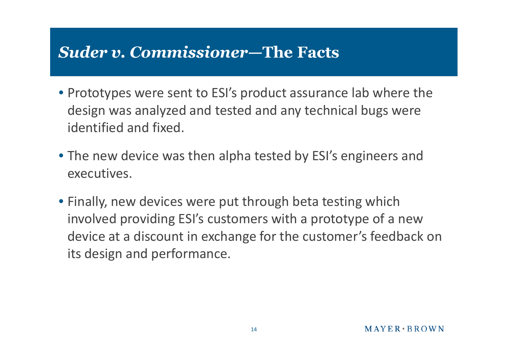#### *Suder v. Commissioner—***The Facts**

- Prototypes were sent to ESI's product assurance lab where the design was analyzed and tested and any technical bugs were identified and fixed.
- The new device was then alpha tested by ESI's engineers and executives.
- Finally, new devices were put through beta testing which involved providing ESI's customers with a prototype of a new device at a discount in exchange for the customer's feedback on its design and performance.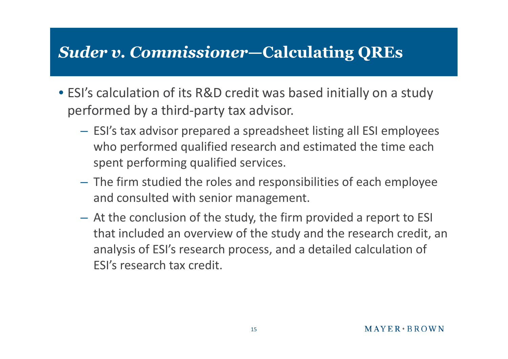#### *Suder v. Commissioner***—Calculating QREs**

- ESI's calculation of its R&D credit was based initially on a study performed by a third-party tax advisor.
	- ESI's tax advisor prepared a spreadsheet listing all ESI employees who performed qualified research and estimated the time each spent performing qualified services.
	- The firm studied the roles and responsibilities of each employee and consulted with senior management.
	- At the conclusion of the study, the firm provided a report to ESI that included an overview of the study and the research credit, an analysis of ESI's research process, and a detailed calculation of ESI's research tax credit.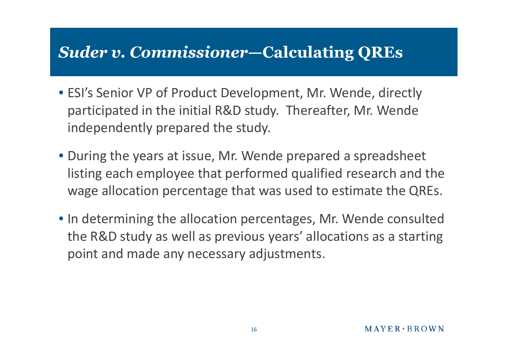#### *Suder v. Commissioner***—Calculating QREs**

- ESI's Senior VP of Product Development, Mr. Wende, directly participated in the initial R&D study. Thereafter, Mr. Wende independently prepared the study.
- During the years at issue, Mr. Wende prepared a spreadsheet listing each employee that performed qualified research and the wage allocation percentage that was used to estimate the QREs.
- In determining the allocation percentages, Mr. Wende consulted the R&D study as well as previous years' allocations as a starting point and made any necessary adjustments.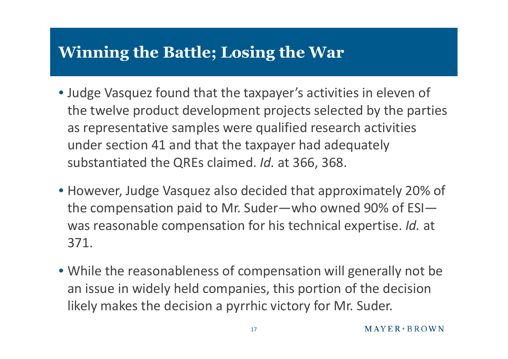### **Winning the Battle; Losing the War**

- Judge Vasquez found that the taxpayer's activities in eleven of the twelve product development projects selected by the parties as representative samples were qualified research activities under section 41 and that the taxpayer had adequately substantiated the QREs claimed. *Id.* at 366, 368.
- However, Judge Vasquez also decided that approximately 20% of the compensation paid to Mr. Suder—who owned 90% of ESI was reasonable compensation for his technical expertise. *Id.* at 371.
- While the reasonableness of compensation will generally not be an issue in widely held companies, this portion of the decision likely makes the decision a pyrrhic victory for Mr. Suder.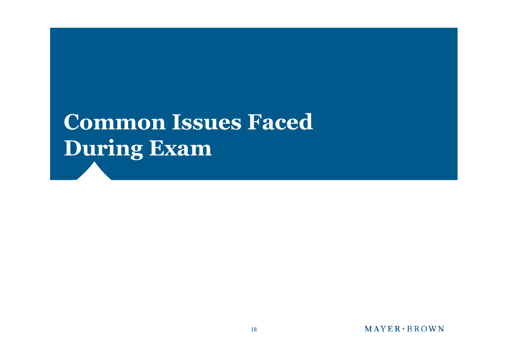# **Common Issues Faced During Exam**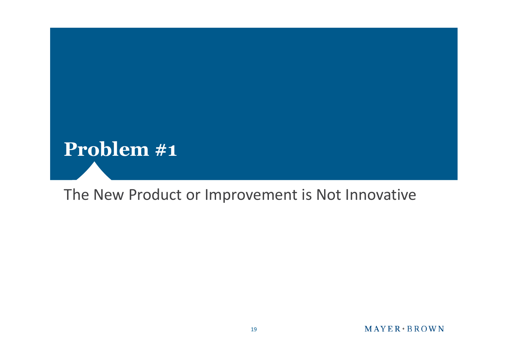

#### The New Product or Improvement is Not Innovative

#### **MAYER BROWN**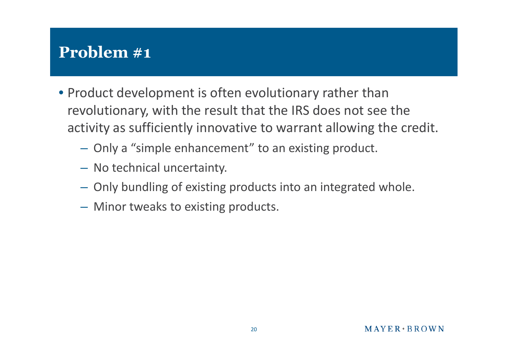## **Problem #1**

- Product development is often evolutionary rather than revolutionary, with the result that the IRS does not see the activity as sufficiently innovative to warrant allowing the credit.
	- Only a "simple enhancement" to an existing product.
	- No technical uncertainty.
	- Only bundling of existing products into an integrated whole.
	- Minor tweaks to existing products.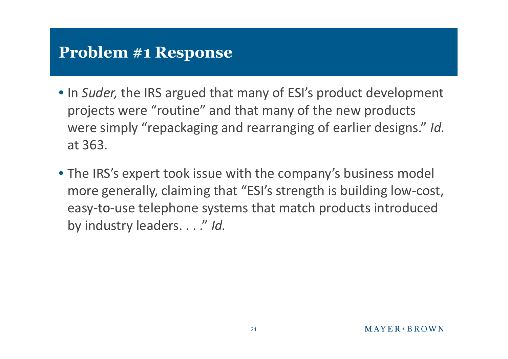- In *Suder,* the IRS argued that many of ESI's product development projects were "routine" and that many of the new products were simply "repackaging and rearranging of earlier designs." *Id.* at 363.
- The IRS's expert took issue with the company's business model more generally, claiming that "ESI's strength is building low-cost, easy-to-use telephone systems that match products introduced by industry leaders. . . ." *Id.*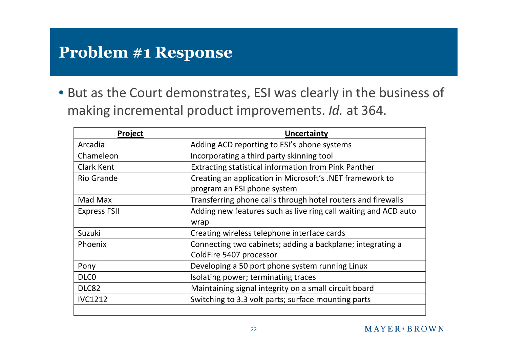• But as the Court demonstrates, ESI was clearly in the business of making incremental product improvements. *Id.* at 364.

| <b>Project</b>      | <b>Uncertainty</b>                                              |
|---------------------|-----------------------------------------------------------------|
| Arcadia             | Adding ACD reporting to ESI's phone systems                     |
| Chameleon           | Incorporating a third party skinning tool                       |
| <b>Clark Kent</b>   | Extracting statistical information from Pink Panther            |
| <b>Rio Grande</b>   | Creating an application in Microsoft's .NET framework to        |
|                     | program an ESI phone system                                     |
| Mad Max             | Transferring phone calls through hotel routers and firewalls    |
| <b>Express FSII</b> | Adding new features such as live ring call waiting and ACD auto |
|                     | wrap                                                            |
| Suzuki              | Creating wireless telephone interface cards                     |
| Phoenix             | Connecting two cabinets; adding a backplane; integrating a      |
|                     | ColdFire 5407 processor                                         |
| Pony                | Developing a 50 port phone system running Linux                 |
| DLC <sub>0</sub>    | Isolating power; terminating traces                             |
| DLC82               | Maintaining signal integrity on a small circuit board           |
| <b>IVC1212</b>      | Switching to 3.3 volt parts; surface mounting parts             |
|                     |                                                                 |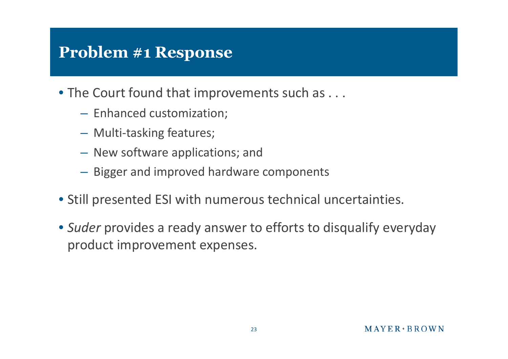- The Court found that improvements such as . . .
	- Enhanced customization;
	- Multi-tasking features;
	- New software applications; and
	- Bigger and improved hardware components
- Still presented ESI with numerous technical uncertainties.
- *Suder* provides a ready answer to efforts to disqualify everyday product improvement expenses.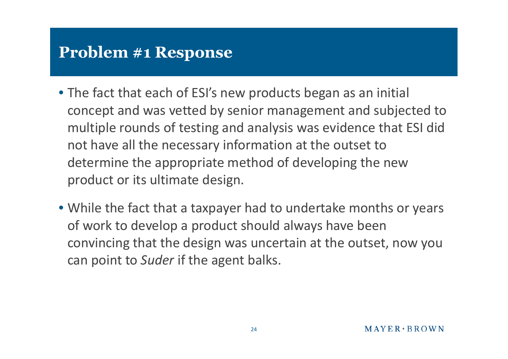- The fact that each of ESI's new products began as an initial concept and was vetted by senior management and subjected to multiple rounds of testing and analysis was evidence that ESI did not have all the necessary information at the outset to determine the appropriate method of developing the new product or its ultimate design.
- While the fact that a taxpayer had to undertake months or years of work to develop a product should always have been convincing that the design was uncertain at the outset, now you can point to *Suder* if the agent balks.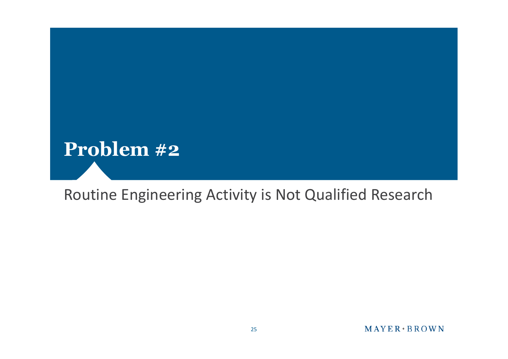

#### Routine Engineering Activity is Not Qualified Research

#### **MAYER BROWN**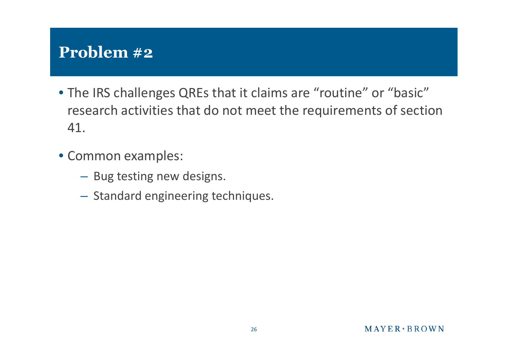#### **Problem #2**

- The IRS challenges QREs that it claims are "routine" or "basic" research activities that do not meet the requirements of section 41.
- Common examples:
	- Bug testing new designs.
	- Standard engineering techniques.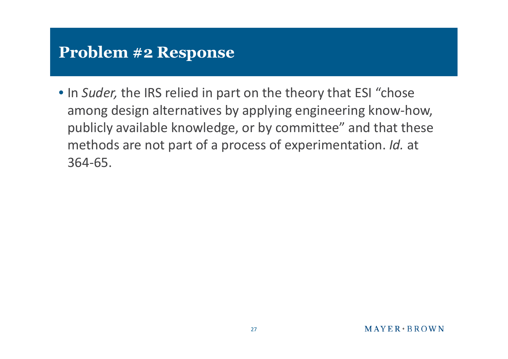• In *Suder,* the IRS relied in part on the theory that ESI "chose among design alternatives by applying engineering know-how, publicly available knowledge, or by committee" and that these methods are not part of a process of experimentation. *Id.* at 364-65.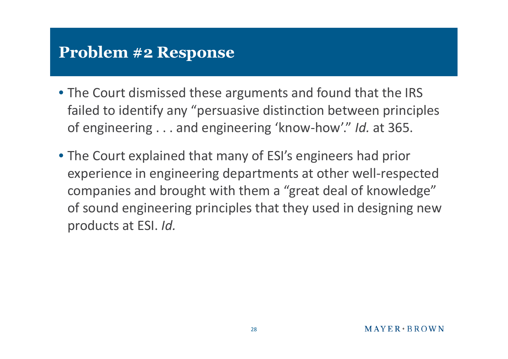- The Court dismissed these arguments and found that the IRS failed to identify any "persuasive distinction between principles of engineering . . . and engineering 'know-how'." *Id.* at 365.
- The Court explained that many of ESI's engineers had prior experience in engineering departments at other well-respected companies and brought with them a "great deal of knowledge" of sound engineering principles that they used in designing new products at ESI. *Id.*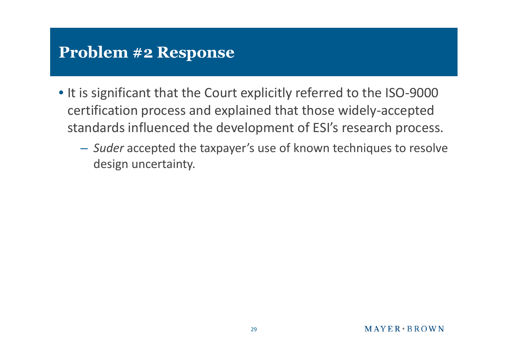- It is significant that the Court explicitly referred to the ISO-9000 certification process and explained that those widely-accepted standards influenced the development of ESI's research process.
	- *Suder* accepted the taxpayer's use of known techniques to resolve design uncertainty.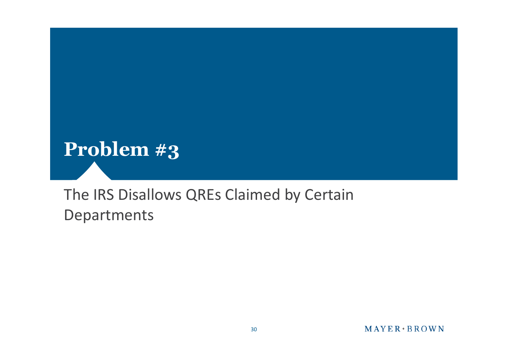

#### The IRS Disallows QREs Claimed by Certain Departments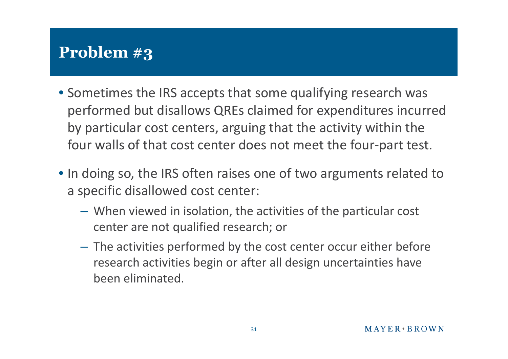## **Problem #3**

- Sometimes the IRS accepts that some qualifying research was performed but disallows QREs claimed for expenditures incurred by particular cost centers, arguing that the activity within the four walls of that cost center does not meet the four-part test.
- In doing so, the IRS often raises one of two arguments related to a specific disallowed cost center:
	- When viewed in isolation, the activities of the particular cost center are not qualified research; or
	- The activities performed by the cost center occur either before research activities begin or after all design uncertainties have been eliminated.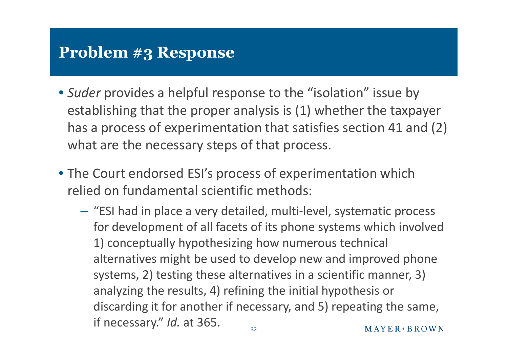- *Suder* provides a helpful response to the "isolation" issue by establishing that the proper analysis is (1) whether the taxpayer has a process of experimentation that satisfies section 41 and (2) what are the necessary steps of that process.
- The Court endorsed ESI's process of experimentation which relied on fundamental scientific methods:
	- "ESI had in place a very detailed, multi-level, systematic process for development of all facets of its phone systems which involved 1) conceptually hypothesizing how numerous technical alternatives might be used to develop new and improved phone systems, 2) testing these alternatives in a scientific manner, 3) analyzing the results, 4) refining the initial hypothesis or discarding it for another if necessary, and 5) repeating the same, if necessary." *Id.* at 365.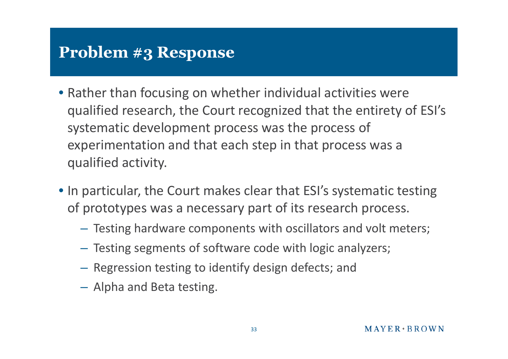- Rather than focusing on whether individual activities were qualified research, the Court recognized that the entirety of ESI's systematic development process was the process of experimentation and that each step in that process was a qualified activity.
- In particular, the Court makes clear that ESI's systematic testing of prototypes was a necessary part of its research process.
	- Testing hardware components with oscillators and volt meters;
	- Testing segments of software code with logic analyzers;
	- Regression testing to identify design defects; and
	- Alpha and Beta testing.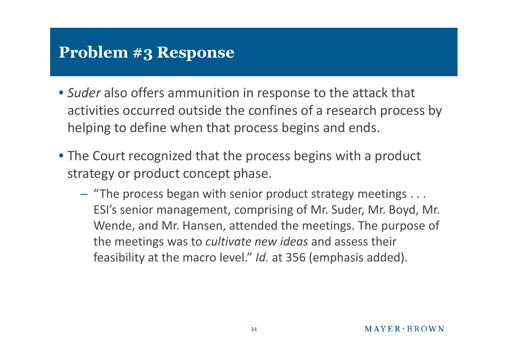- *Suder* also offers ammunition in response to the attack that activities occurred outside the confines of a research process by helping to define when that process begins and ends.
- The Court recognized that the process begins with a product strategy or product concept phase.
	- "The process began with senior product strategy meetings . . . ESI's senior management, comprising of Mr. Suder, Mr. Boyd, Mr. Wende, and Mr. Hansen, attended the meetings. The purpose of the meetings was to *cultivate new ideas* and assess their feasibility at the macro level." *Id.* at 356 (emphasis added).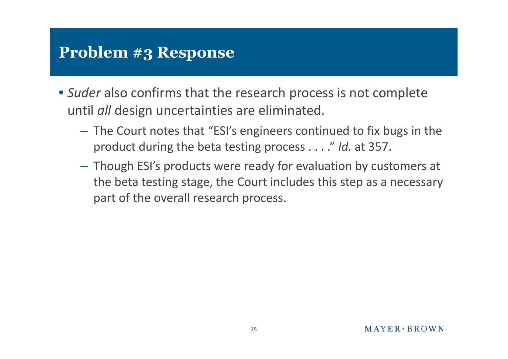- *Suder* also confirms that the research process is not complete until *all* design uncertainties are eliminated.
	- The Court notes that "ESI's engineers continued to fix bugs in the product during the beta testing process . . . ." *Id.* at 357.
	- Though ESI's products were ready for evaluation by customers at the beta testing stage, the Court includes this step as a necessary part of the overall research process.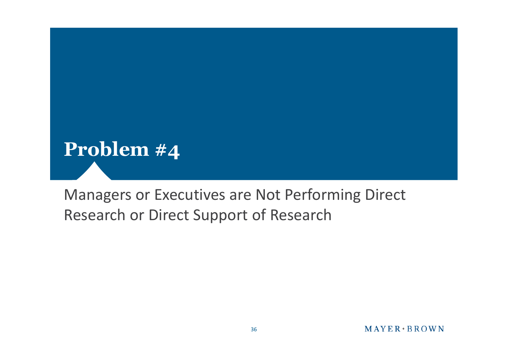

#### Managers or Executives are Not Performing Direct Research or Direct Support of Research

#### $MAYER+BROWN$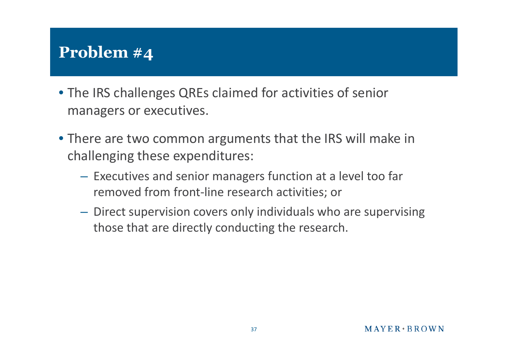## **Problem #4**

- The IRS challenges QREs claimed for activities of senior managers or executives.
- There are two common arguments that the IRS will make in challenging these expenditures:
	- Executives and senior managers function at a level too far removed from front-line research activities; or
	- Direct supervision covers only individuals who are supervising those that are directly conducting the research.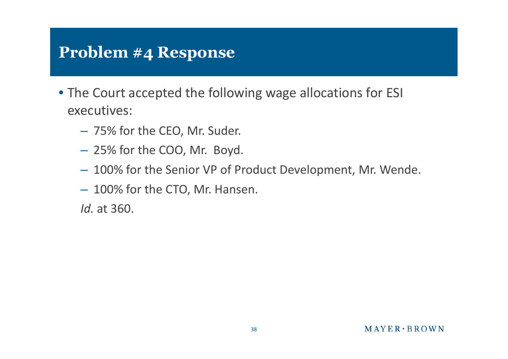- The Court accepted the following wage allocations for ESI executives:
	- 75% for the CEO, Mr. Suder.
	- 25% for the COO, Mr. Boyd.
	- 100% for the Senior VP of Product Development, Mr. Wende.
	- 100% for the CTO, Mr. Hansen.

*Id.* at 360.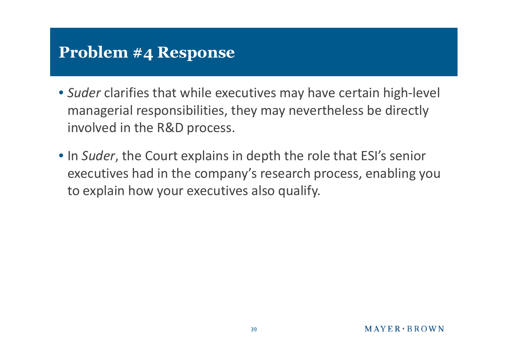- *Suder* clarifies that while executives may have certain high-level managerial responsibilities, they may nevertheless be directly involved in the R&D process.
- In *Suder*, the Court explains in depth the role that ESI's senior executives had in the company's research process, enabling you to explain how your executives also qualify.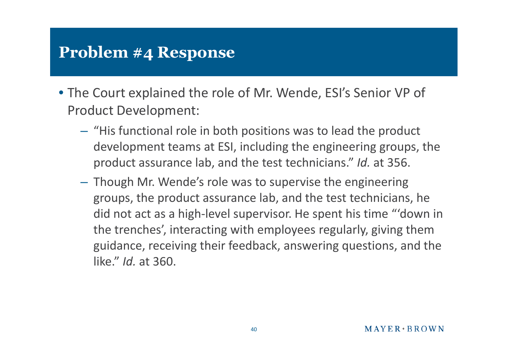- The Court explained the role of Mr. Wende, ESI's Senior VP of Product Development:
	- "His functional role in both positions was to lead the product development teams at ESI, including the engineering groups, the product assurance lab, and the test technicians." *Id.* at 356.
	- Though Mr. Wende's role was to supervise the engineering groups, the product assurance lab, and the test technicians, he did not act as a high-level supervisor. He spent his time "'down in the trenches', interacting with employees regularly, giving them guidance, receiving their feedback, answering questions, and the like." *Id.* at 360.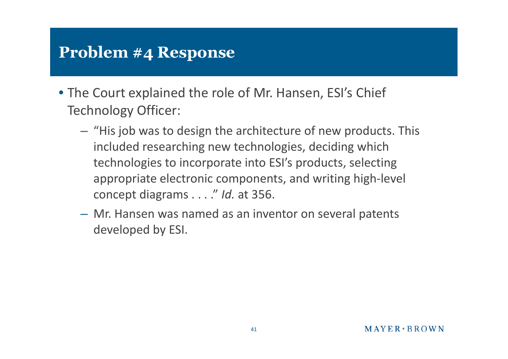- The Court explained the role of Mr. Hansen, ESI's Chief Technology Officer:
	- "His job was to design the architecture of new products. This included researching new technologies, deciding which technologies to incorporate into ESI's products, selecting appropriate electronic components, and writing high-level concept diagrams . . . ." *Id.* at 356.
	- Mr. Hansen was named as an inventor on several patents developed by ESI.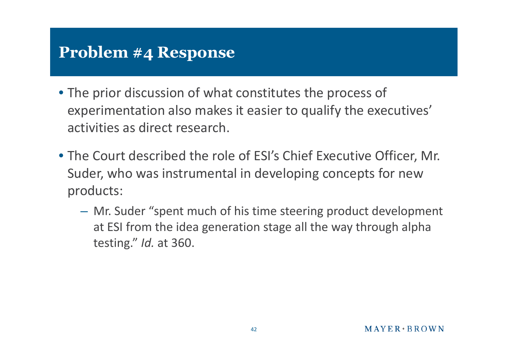- The prior discussion of what constitutes the process of experimentation also makes it easier to qualify the executives' activities as direct research.
- The Court described the role of ESI's Chief Executive Officer, Mr. Suder, who was instrumental in developing concepts for new products:
	- Mr. Suder "spent much of his time steering product development at ESI from the idea generation stage all the way through alpha testing." *Id.* at 360.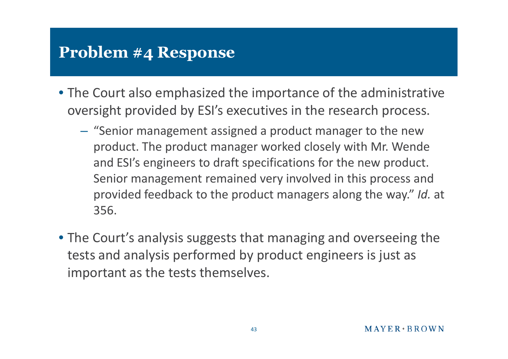- The Court also emphasized the importance of the administrative oversight provided by ESI's executives in the research process.
	- "Senior management assigned a product manager to the new product. The product manager worked closely with Mr. Wende and ESI's engineers to draft specifications for the new product. Senior management remained very involved in this process and provided feedback to the product managers along the way." *Id.* at 356.
- The Court's analysis suggests that managing and overseeing the tests and analysis performed by product engineers is just as important as the tests themselves.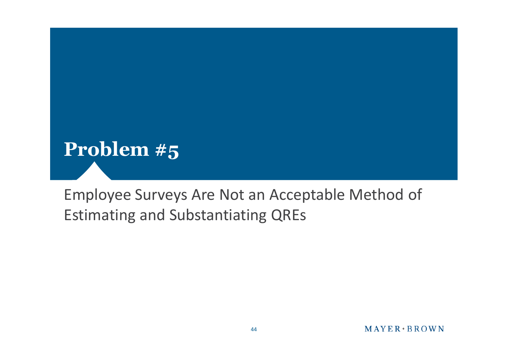

#### Employee Surveys Are Not an Acceptable Method of Estimating and Substantiating QREs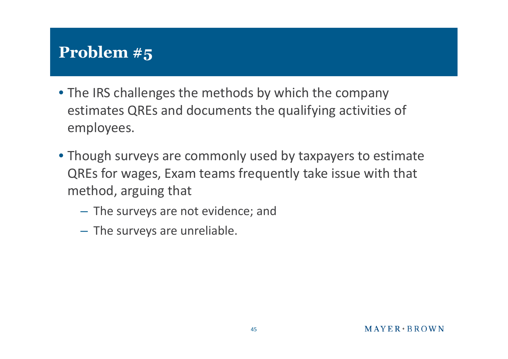## **Problem #5**

- The IRS challenges the methods by which the company estimates QREs and documents the qualifying activities of employees.
- Though surveys are commonly used by taxpayers to estimate QREs for wages, Exam teams frequently take issue with that method, arguing that
	- The surveys are not evidence; and
	- The surveys are unreliable.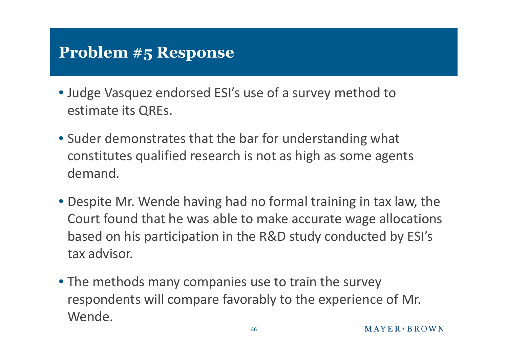- Judge Vasquez endorsed ESI's use of a survey method to estimate its QREs.
- Suder demonstrates that the bar for understanding what constitutes qualified research is not as high as some agents demand.
- Despite Mr. Wende having had no formal training in tax law, the Court found that he was able to make accurate wage allocations based on his participation in the R&D study conducted by ESI's tax advisor.
- The methods many companies use to train the survey respondents will compare favorably to the experience of Mr. Wende.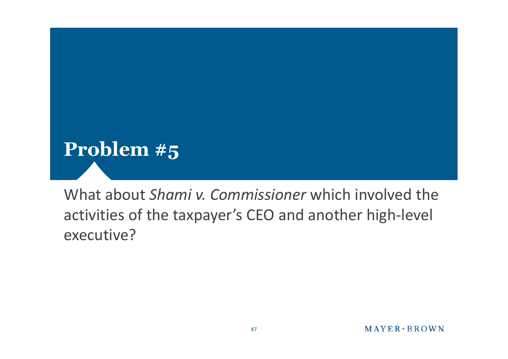

What about *Shami v. Commissioner* which involved the activities of the taxpayer's CEO and another high-level executive?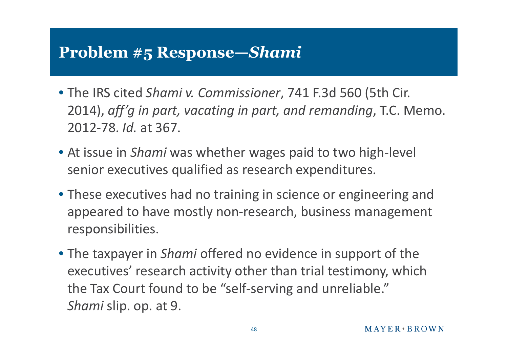#### **Problem #5 Response—***Shami*

- The IRS cited *Shami v. Commissioner*, 741 F.3d 560 (5th Cir. 2014), *aff'g in part, vacating in part, and remanding*, T.C. Memo. 2012-78. *Id.* at 367.
- At issue in *Shami* was whether wages paid to two high-level senior executives qualified as research expenditures.
- These executives had no training in science or engineering and appeared to have mostly non-research, business management responsibilities.
- The taxpayer in *Shami* offered no evidence in support of the executives' research activity other than trial testimony, which the Tax Court found to be "self-serving and unreliable." *Shami* slip. op. at 9.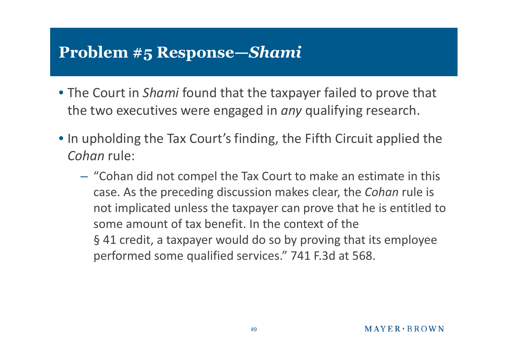#### **Problem #5 Response—***Shami*

- The Court in *Shami* found that the taxpayer failed to prove that the two executives were engaged in *any* qualifying research.
- In upholding the Tax Court's finding, the Fifth Circuit applied the *Cohan* rule:
	- "Cohan did not compel the Tax Court to make an estimate in this case. As the preceding discussion makes clear, the *Cohan* rule is not implicated unless the taxpayer can prove that he is entitled to some amount of tax benefit. In the context of the § 41 credit, a taxpayer would do so by proving that its employee performed some qualified services." 741 F.3d at 568.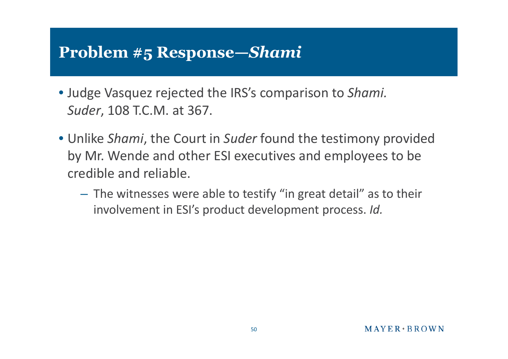#### **Problem #5 Response—***Shami*

- Judge Vasquez rejected the IRS's comparison to *Shami. Suder*, 108 T.C.M. at 367.
- Unlike *Shami*, the Court in *Suder* found the testimony provided by Mr. Wende and other ESI executives and employees to be credible and reliable.
	- The witnesses were able to testify "in great detail" as to their involvement in ESI's product development process. *Id.*